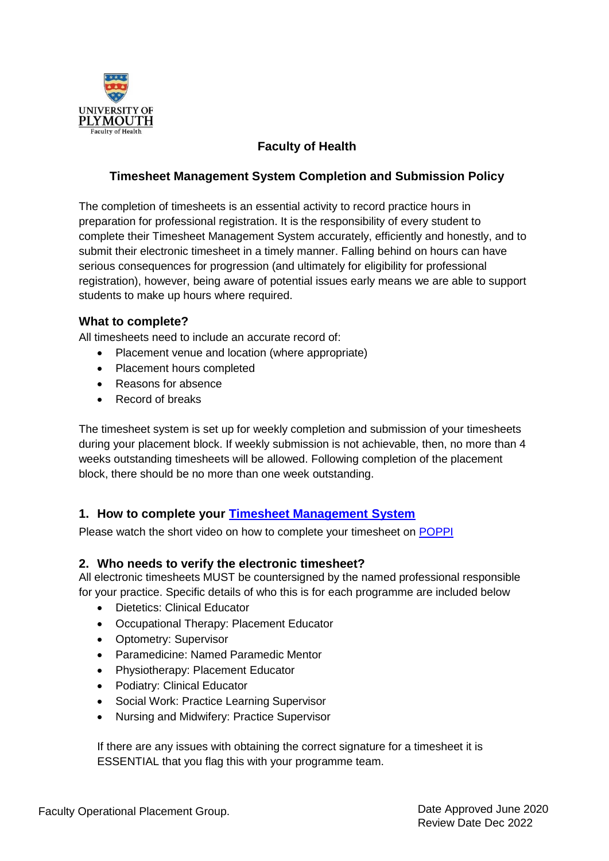

# **Faculty of Health**

### **Timesheet Management System Completion and Submission Policy**

The completion of timesheets is an essential activity to record practice hours in preparation for professional registration. It is the responsibility of every student to complete their Timesheet Management System accurately, efficiently and honestly, and to submit their electronic timesheet in a timely manner. Falling behind on hours can have serious consequences for progression (and ultimately for eligibility for professional registration), however, being aware of potential issues early means we are able to support students to make up hours where required.

#### **What to complete?**

All timesheets need to include an accurate record of:

- Placement venue and location (where appropriate)
- Placement hours completed
- Reasons for absence
- Record of breaks

The timesheet system is set up for weekly completion and submission of your timesheets during your placement block. If weekly submission is not achievable, then, no more than 4 weeks outstanding timesheets will be allowed. Following completion of the placement block, there should be no more than one week outstanding.

#### **1. How to complete your [Timesheet Management](https://www.plymouth.ac.uk/student-life/your-studies/academic-services/placements-and-workbased-learning/poppi/poppi-health/tms) System**

Please watch the short video on how to complete your timesheet on **POPPI** 

#### **2. Who needs to verify the electronic timesheet?**

All electronic timesheets MUST be countersigned by the named professional responsible for your practice. Specific details of who this is for each programme are included below

- Dietetics: Clinical Educator
- Occupational Therapy: Placement Educator
- Optometry: Supervisor
- Paramedicine: Named Paramedic Mentor
- Physiotherapy: Placement Educator
- Podiatry: Clinical Educator
- Social Work: Practice Learning Supervisor
- Nursing and Midwifery: Practice Supervisor

If there are any issues with obtaining the correct signature for a timesheet it is ESSENTIAL that you flag this with your programme team.